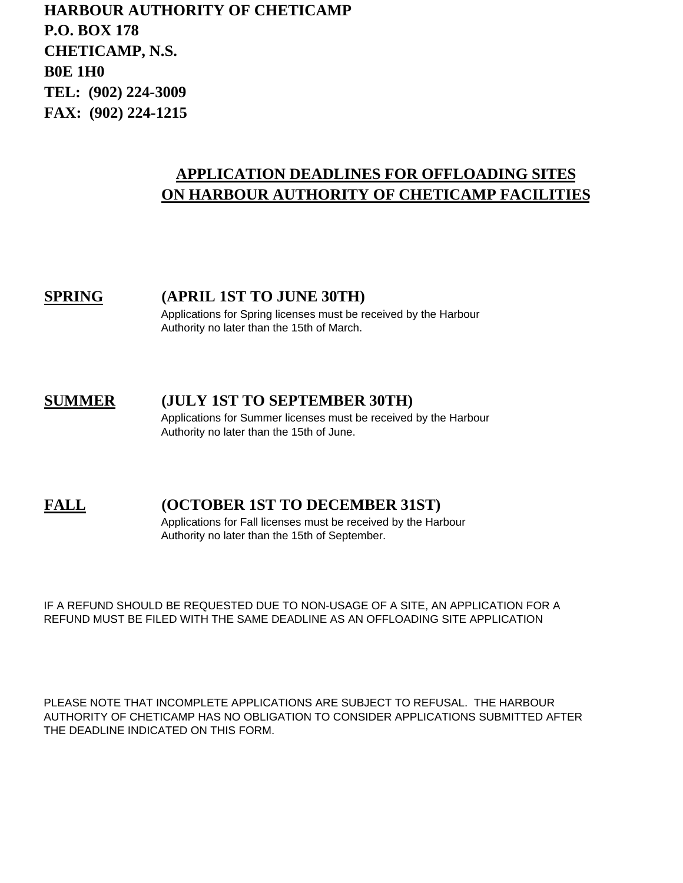**HARBOUR AUTHORITY OF CHETICAMP P.O. BOX 178 CHETICAMP, N.S. B0E 1H0 TEL: (902) 224-3009 FAX: (902) 224-1215**

# **APPLICATION DEADLINES FOR OFFLOADING SITES ON HARBOUR AUTHORITY OF CHETICAMP FACILITIES**

**SPRING (APRIL 1ST TO JUNE 30TH)** Applications for Spring licenses must be received by the Harbour Authority no later than the 15th of March.

# **SUMMER (JULY 1ST TO SEPTEMBER 30TH)**

Applications for Summer licenses must be received by the Harbour Authority no later than the 15th of June.

## **FALL (OCTOBER 1ST TO DECEMBER 31ST)**

Applications for Fall licenses must be received by the Harbour Authority no later than the 15th of September.

IF A REFUND SHOULD BE REQUESTED DUE TO NON-USAGE OF A SITE, AN APPLICATION FOR A REFUND MUST BE FILED WITH THE SAME DEADLINE AS AN OFFLOADING SITE APPLICATION

PLEASE NOTE THAT INCOMPLETE APPLICATIONS ARE SUBJECT TO REFUSAL. THE HARBOUR AUTHORITY OF CHETICAMP HAS NO OBLIGATION TO CONSIDER APPLICATIONS SUBMITTED AFTER THE DEADLINE INDICATED ON THIS FORM.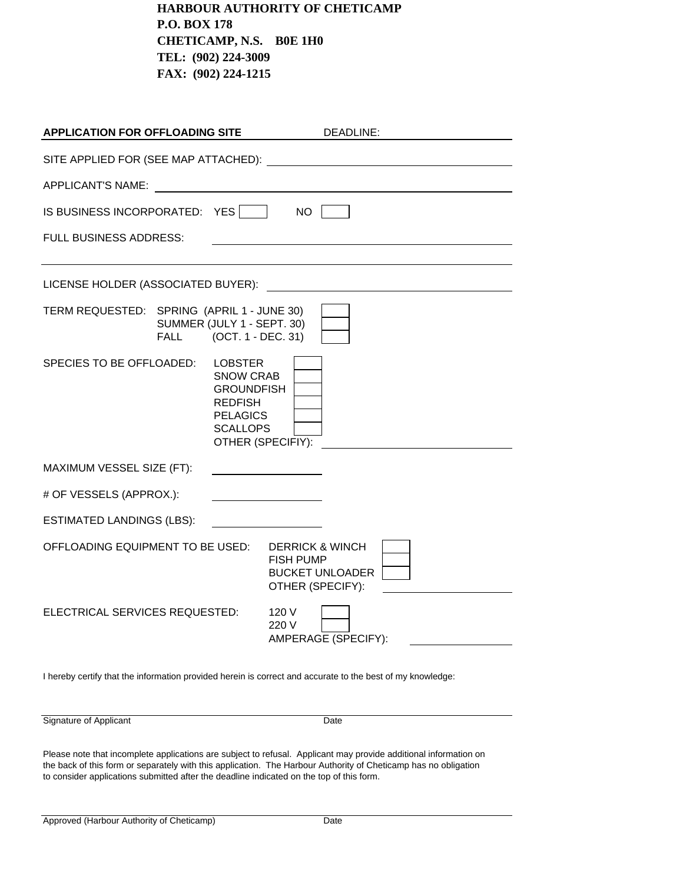**HARBOUR AUTHORITY OF CHETICAMP P.O. BOX 178 CHETICAMP, N.S. B0E 1H0 TEL: (902) 224-3009 FAX: (902) 224-1215**

| <b>APPLICATION FOR OFFLOADING SITE</b>                                                                                                                                                                                        | DEADLINE:                                                                                    |  |
|-------------------------------------------------------------------------------------------------------------------------------------------------------------------------------------------------------------------------------|----------------------------------------------------------------------------------------------|--|
| SITE APPLIED FOR (SEE MAP ATTACHED): Network and the set of the set of the set of the set of the set of the set of the set of the set of the set of the set of the set of the set of the set of the set of the set of the set |                                                                                              |  |
| APPLICANT'S NAME:<br><u> 1989 - Andrea Station Barbara (h. 1989)</u>                                                                                                                                                          |                                                                                              |  |
| IS BUSINESS INCORPORATED: YES                                                                                                                                                                                                 | NO.                                                                                          |  |
| <b>FULL BUSINESS ADDRESS:</b>                                                                                                                                                                                                 |                                                                                              |  |
|                                                                                                                                                                                                                               |                                                                                              |  |
| LICENSE HOLDER (ASSOCIATED BUYER):                                                                                                                                                                                            |                                                                                              |  |
| TERM REQUESTED: SPRING (APRIL 1 - JUNE 30)<br>SUMMER (JULY 1 - SEPT. 30)<br>(OCT. 1 - DEC. 31)<br>FALL                                                                                                                        |                                                                                              |  |
| SPECIES TO BE OFFLOADED:<br><b>LOBSTER</b><br><b>SNOW CRAB</b><br><b>GROUNDFISH</b><br><b>REDFISH</b><br><b>PELAGICS</b><br><b>SCALLOPS</b>                                                                                   | OTHER (SPECIFIY):                                                                            |  |
| MAXIMUM VESSEL SIZE (FT):                                                                                                                                                                                                     |                                                                                              |  |
| # OF VESSELS (APPROX.):                                                                                                                                                                                                       |                                                                                              |  |
| <b>ESTIMATED LANDINGS (LBS):</b>                                                                                                                                                                                              |                                                                                              |  |
| OFFLOADING EQUIPMENT TO BE USED:                                                                                                                                                                                              | <b>DERRICK &amp; WINCH</b><br><b>FISH PUMP</b><br><b>BUCKET UNLOADER</b><br>OTHER (SPECIFY): |  |
| ELECTRICAL SERVICES REQUESTED:                                                                                                                                                                                                | 120 V<br>220 V<br>AMPERAGE (SPECIFY):                                                        |  |

I hereby certify that the information provided herein is correct and accurate to the best of my knowledge:

Signature of Applicant Date

Please note that incomplete applications are subject to refusal. Applicant may provide additional information on the back of this form or separately with this application. The Harbour Authority of Cheticamp has no obligation to consider applications submitted after the deadline indicated on the top of this form.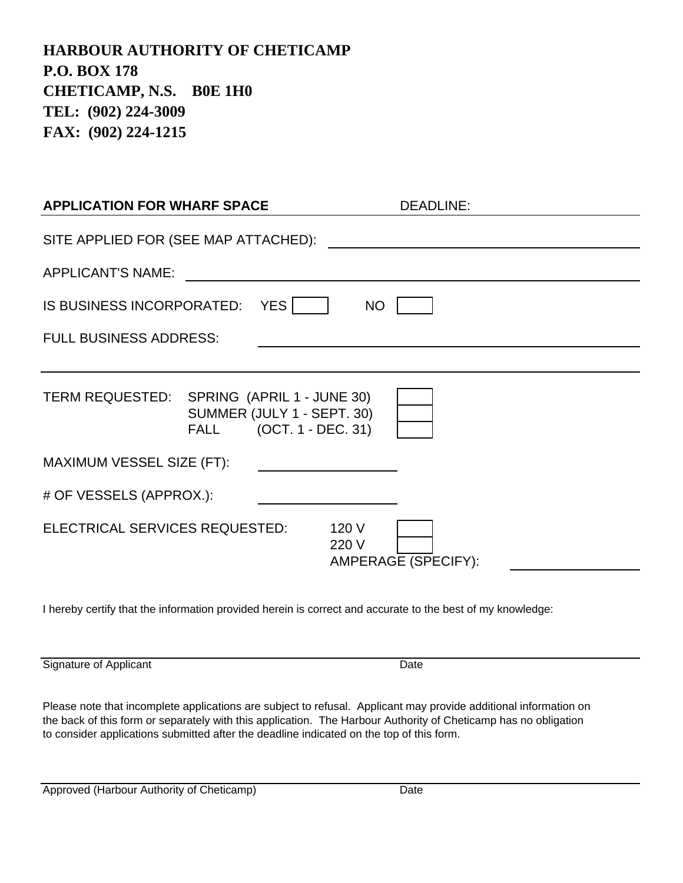**HARBOUR AUTHORITY OF CHETICAMP P.O. BOX 178 CHETICAMP, N.S. B0E 1H0 TEL: (902) 224-3009 FAX: (902) 224-1215**

| <b>APPLICATION FOR WHARF SPACE</b>         | <b>DEADLINE:</b>                                      |
|--------------------------------------------|-------------------------------------------------------|
| SITE APPLIED FOR (SEE MAP ATTACHED):       |                                                       |
| <b>APPLICANT'S NAME:</b>                   |                                                       |
| IS BUSINESS INCORPORATED: YES              | <b>NO</b>                                             |
| <b>FULL BUSINESS ADDRESS:</b>              |                                                       |
|                                            |                                                       |
| TERM REQUESTED: SPRING (APRIL 1 - JUNE 30) | SUMMER (JULY 1 - SEPT. 30)<br>FALL (OCT. 1 - DEC. 31) |
| MAXIMUM VESSEL SIZE (FT):                  |                                                       |
| # OF VESSELS (APPROX.):                    |                                                       |
| ELECTRICAL SERVICES REQUESTED:             | 120 V<br>220 V<br>AMPERAGE (SPECIFY):                 |

I hereby certify that the information provided herein is correct and accurate to the best of my knowledge:

Signature of Applicant Date Date Date

Please note that incomplete applications are subject to refusal. Applicant may provide additional information on the back of this form or separately with this application. The Harbour Authority of Cheticamp has no obligation to consider applications submitted after the deadline indicated on the top of this form.

Approved (Harbour Authority of Cheticamp) Date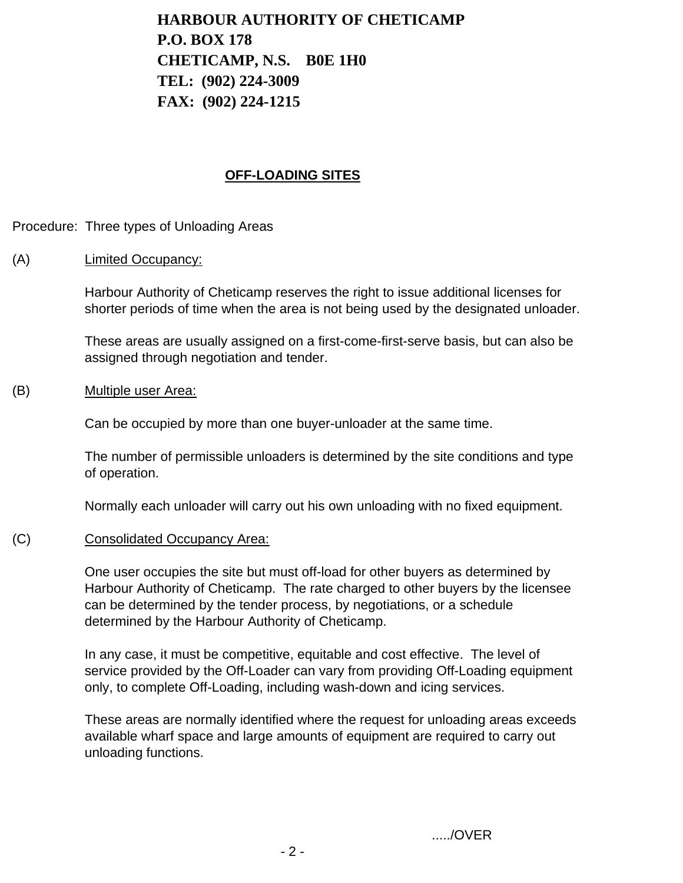**HARBOUR AUTHORITY OF CHETICAMP P.O. BOX 178 CHETICAMP, N.S. B0E 1H0 TEL: (902) 224-3009 FAX: (902) 224-1215**

#### **OFF-LOADING SITES**

Procedure: Three types of Unloading Areas

#### (A) Limited Occupancy:

Harbour Authority of Cheticamp reserves the right to issue additional licenses for shorter periods of time when the area is not being used by the designated unloader.

These areas are usually assigned on a first-come-first-serve basis, but can also be assigned through negotiation and tender.

#### (B) Multiple user Area:

Can be occupied by more than one buyer-unloader at the same time.

The number of permissible unloaders is determined by the site conditions and type of operation.

Normally each unloader will carry out his own unloading with no fixed equipment.

#### (C) Consolidated Occupancy Area:

One user occupies the site but must off-load for other buyers as determined by Harbour Authority of Cheticamp. The rate charged to other buyers by the licensee can be determined by the tender process, by negotiations, or a schedule determined by the Harbour Authority of Cheticamp.

In any case, it must be competitive, equitable and cost effective. The level of service provided by the Off-Loader can vary from providing Off-Loading equipment only, to complete Off-Loading, including wash-down and icing services.

These areas are normally identified where the request for unloading areas exceeds available wharf space and large amounts of equipment are required to carry out unloading functions.

...../OVER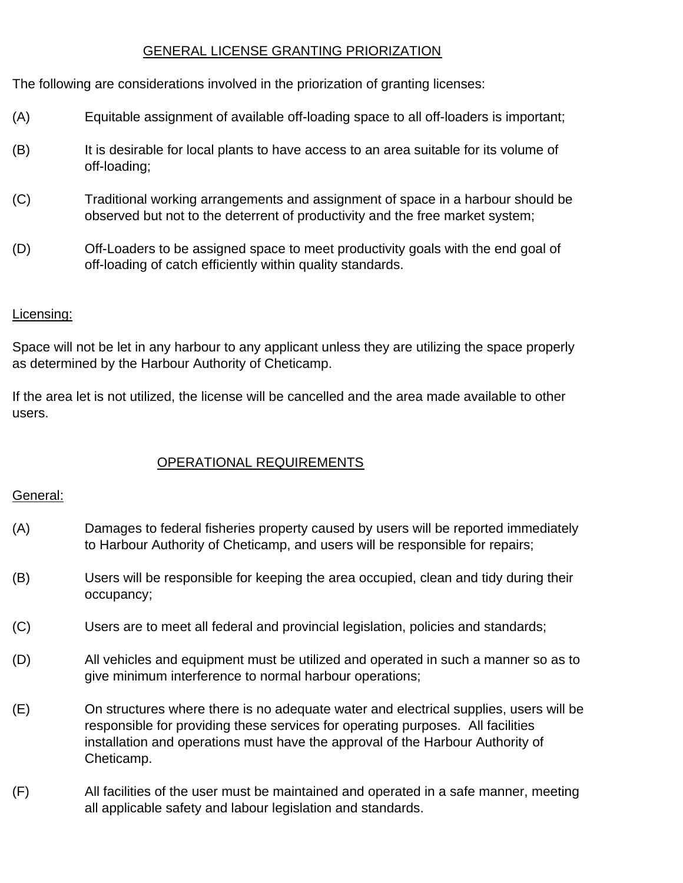## GENERAL LICENSE GRANTING PRIORIZATION

The following are considerations involved in the priorization of granting licenses:

- (A) Equitable assignment of available off-loading space to all off-loaders is important;
- (B) It is desirable for local plants to have access to an area suitable for its volume of off-loading;
- (C) Traditional working arrangements and assignment of space in a harbour should be observed but not to the deterrent of productivity and the free market system;
- (D) Off-Loaders to be assigned space to meet productivity goals with the end goal of off-loading of catch efficiently within quality standards.

#### Licensing:

Space will not be let in any harbour to any applicant unless they are utilizing the space properly as determined by the Harbour Authority of Cheticamp.

If the area let is not utilized, the license will be cancelled and the area made available to other users.

## OPERATIONAL REQUIREMENTS

#### General:

- (A) Damages to federal fisheries property caused by users will be reported immediately to Harbour Authority of Cheticamp, and users will be responsible for repairs;
- (B) Users will be responsible for keeping the area occupied, clean and tidy during their occupancy;
- (C) Users are to meet all federal and provincial legislation, policies and standards;
- (D) All vehicles and equipment must be utilized and operated in such a manner so as to give minimum interference to normal harbour operations;
- (E) On structures where there is no adequate water and electrical supplies, users will be responsible for providing these services for operating purposes. All facilities installation and operations must have the approval of the Harbour Authority of Cheticamp.
- (F) All facilities of the user must be maintained and operated in a safe manner, meeting all applicable safety and labour legislation and standards.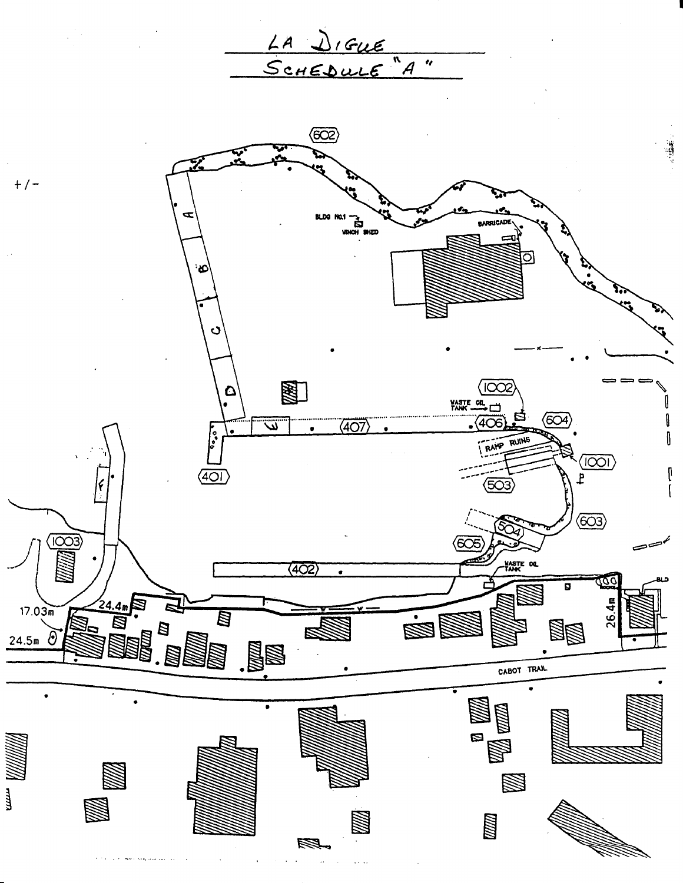